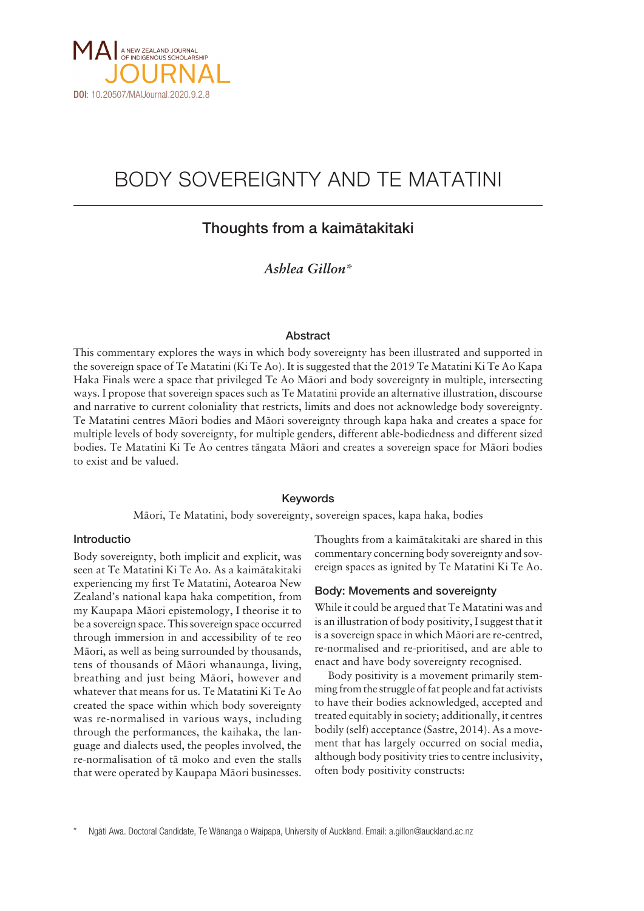

# BODY SOVEREIGNTY AND TE MATATINI

# Thoughts from a kaimätakitaki

# *Ashlea Gillon\**

#### Abstract

This commentary explores the ways in which body sovereignty has been illustrated and supported in the sovereign space of Te Matatini (Ki Te Ao). It is suggested that the 2019 Te Matatini Ki Te Ao Kapa Haka Finals were a space that privileged Te Ao Mäori and body sovereignty in multiple, intersecting ways. I propose that sovereign spaces such as Te Matatini provide an alternative illustration, discourse and narrative to current coloniality that restricts, limits and does not acknowledge body sovereignty. Te Matatini centres Mäori bodies and Mäori sovereignty through kapa haka and creates a space for multiple levels of body sovereignty, for multiple genders, different able-bodiedness and different sized bodies. Te Matatini Ki Te Ao centres tängata Mäori and creates a sovereign space for Mäori bodies to exist and be valued.

#### Keywords

Mäori, Te Matatini, body sovereignty, sovereign spaces, kapa haka, bodies

# Introductio

Body sovereignty, both implicit and explicit, was seen at Te Matatini Ki Te Ao. As a kaimätakitaki experiencing my first Te Matatini, Aotearoa New Zealand's national kapa haka competition, from my Kaupapa Mäori epistemology, I theorise it to be a sovereign space. This sovereign space occurred through immersion in and accessibility of te reo Mäori, as well as being surrounded by thousands, tens of thousands of Mäori whanaunga, living, breathing and just being Mäori, however and whatever that means for us. Te Matatini Ki Te Ao created the space within which body sovereignty was re-normalised in various ways, including through the performances, the kaihaka, the language and dialects used, the peoples involved, the re-normalisation of tä moko and even the stalls that were operated by Kaupapa Mäori businesses. Thoughts from a kaimätakitaki are shared in this commentary concerning body sovereignty and sovereign spaces as ignited by Te Matatini Ki Te Ao.

# Body: Movements and sovereignty

While it could be argued that Te Matatini was and is an illustration of body positivity, I suggest that it is a sovereign space in which Mäori are re-centred, re-normalised and re-prioritised, and are able to enact and have body sovereignty recognised.

Body positivity is a movement primarily stemming from the struggle of fat people and fat activists to have their bodies acknowledged, accepted and treated equitably in society; additionally, it centres bodily (self) acceptance (Sastre, 2014). As a movement that has largely occurred on social media, although body positivity tries to centre inclusivity, often body positivity constructs:

Ngāti Awa. Doctoral Candidate, Te Wānanga o Waipapa, University of Auckland. Email: [a.gillon@auckland.ac.nz](mailto:a.gillon@auckland.ac.nz)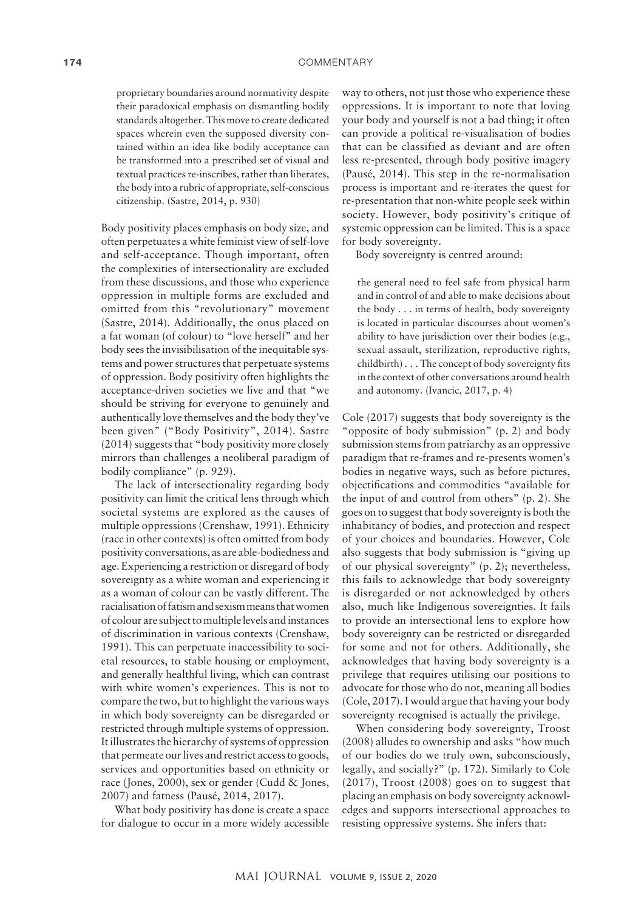proprietary boundaries around normativity despite their paradoxical emphasis on dismantling bodily standards altogether. This move to create dedicated spaces wherein even the supposed diversity contained within an idea like bodily acceptance can be transformed into a prescribed set of visual and textual practices re-inscribes, rather than liberates, the body into a rubric of appropriate, self-conscious citizenship. (Sastre, 2014, p. 930)

Body positivity places emphasis on body size, and often perpetuates a white feminist view of self-love and self-acceptance. Though important, often the complexities of intersectionality are excluded from these discussions, and those who experience oppression in multiple forms are excluded and omitted from this "revolutionary" movement (Sastre, 2014). Additionally, the onus placed on a fat woman (of colour) to "love herself" and her body sees the invisibilisation of the inequitable systems and power structures that perpetuate systems of oppression. Body positivity often highlights the acceptance-driven societies we live and that "we should be striving for everyone to genuinely and authentically love themselves and the body they've been given" ("Body Positivity", 2014). Sastre (2014) suggests that "body positivity more closely mirrors than challenges a neoliberal paradigm of bodily compliance" (p. 929).

The lack of intersectionality regarding body positivity can limit the critical lens through which societal systems are explored as the causes of multiple oppressions (Crenshaw, 1991). Ethnicity (race in other contexts) is often omitted from body positivity conversations, as are able-bodiedness and age. Experiencing a restriction or disregard of body sovereignty as a white woman and experiencing it as a woman of colour can be vastly different. The racialisation of fatism and sexism means that women of colour are subject to multiple levels and instances of discrimination in various contexts (Crenshaw, 1991). This can perpetuate inaccessibility to societal resources, to stable housing or employment, and generally healthful living, which can contrast with white women's experiences. This is not to compare the two, but to highlight the various ways in which body sovereignty can be disregarded or restricted through multiple systems of oppression. It illustrates the hierarchy of systems of oppression that permeate our lives and restrict access to goods, services and opportunities based on ethnicity or race (Jones, 2000), sex or gender (Cudd & Jones, 2007) and fatness (Pausé, 2014, 2017).

What body positivity has done is create a space for dialogue to occur in a more widely accessible

way to others, not just those who experience these oppressions. It is important to note that loving your body and yourself is not a bad thing; it often can provide a political re-visualisation of bodies that can be classified as deviant and are often less re-presented, through body positive imagery (Pausé, 2014). This step in the re-normalisation process is important and re-iterates the quest for re-presentation that non-white people seek within society. However, body positivity's critique of systemic oppression can be limited. This is a space for body sovereignty.

Body sovereignty is centred around:

the general need to feel safe from physical harm and in control of and able to make decisions about the body . . . in terms of health, body sovereignty is located in particular discourses about women's ability to have jurisdiction over their bodies (e.g., sexual assault, sterilization, reproductive rights, childbirth) . . . The concept of body sovereignty fits in the context of other conversations around health and autonomy. (Ivancic, 2017, p. 4)

Cole (2017) suggests that body sovereignty is the "opposite of body submission" (p. 2) and body submission stems from patriarchy as an oppressive paradigm that re-frames and re-presents women's bodies in negative ways, such as before pictures, objectifications and commodities "available for the input of and control from others" (p. 2). She goes on to suggest that body sovereignty is both the inhabitancy of bodies, and protection and respect of your choices and boundaries. However, Cole also suggests that body submission is "giving up of our physical sovereignty" (p. 2); nevertheless, this fails to acknowledge that body sovereignty is disregarded or not acknowledged by others also, much like Indigenous sovereignties. It fails to provide an intersectional lens to explore how body sovereignty can be restricted or disregarded for some and not for others. Additionally, she acknowledges that having body sovereignty is a privilege that requires utilising our positions to advocate for those who do not, meaning all bodies (Cole, 2017). I would argue that having your body sovereignty recognised is actually the privilege.

When considering body sovereignty, Troost (2008) alludes to ownership and asks "how much of our bodies do we truly own, subconsciously, legally, and socially?" (p. 172). Similarly to Cole (2017), Troost (2008) goes on to suggest that placing an emphasis on body sovereignty acknowledges and supports intersectional approaches to resisting oppressive systems. She infers that: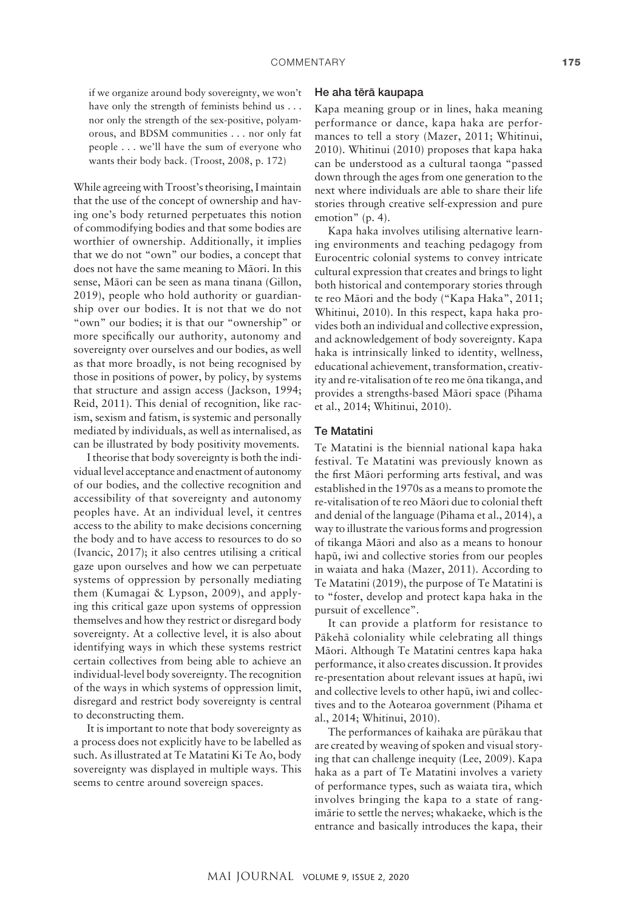if we organize around body sovereignty, we won't have only the strength of feminists behind us . . . nor only the strength of the sex-positive, polyamorous, and BDSM communities . . . nor only fat people . . . we'll have the sum of everyone who wants their body back. (Troost, 2008, p. 172)

While agreeing with Troost's theorising, I maintain that the use of the concept of ownership and having one's body returned perpetuates this notion of commodifying bodies and that some bodies are worthier of ownership. Additionally, it implies that we do not "own" our bodies, a concept that does not have the same meaning to Mäori. In this sense, Mäori can be seen as mana tinana (Gillon, 2019), people who hold authority or guardianship over our bodies. It is not that we do not "own" our bodies; it is that our "ownership" or more specifically our authority, autonomy and sovereignty over ourselves and our bodies, as well as that more broadly, is not being recognised by those in positions of power, by policy, by systems that structure and assign access (Jackson, 1994; Reid, 2011). This denial of recognition, like racism, sexism and fatism, is systemic and personally mediated by individuals, as well as internalised, as can be illustrated by body positivity movements.

I theorise that body sovereignty is both the individual level acceptance and enactment of autonomy of our bodies, and the collective recognition and accessibility of that sovereignty and autonomy peoples have. At an individual level, it centres access to the ability to make decisions concerning the body and to have access to resources to do so (Ivancic, 2017); it also centres utilising a critical gaze upon ourselves and how we can perpetuate systems of oppression by personally mediating them (Kumagai & Lypson, 2009), and applying this critical gaze upon systems of oppression themselves and how they restrict or disregard body sovereignty. At a collective level, it is also about identifying ways in which these systems restrict certain collectives from being able to achieve an individual-level body sovereignty. The recognition of the ways in which systems of oppression limit, disregard and restrict body sovereignty is central to deconstructing them.

It is important to note that body sovereignty as a process does not explicitly have to be labelled as such. As illustrated at Te Matatini Ki Te Ao, body sovereignty was displayed in multiple ways. This seems to centre around sovereign spaces.

#### He aha tërä kaupapa

Kapa meaning group or in lines, haka meaning performance or dance, kapa haka are performances to tell a story (Mazer, 2011; Whitinui, 2010). Whitinui (2010) proposes that kapa haka can be understood as a cultural taonga "passed down through the ages from one generation to the next where individuals are able to share their life stories through creative self-expression and pure emotion" (p. 4).

Kapa haka involves utilising alternative learning environments and teaching pedagogy from Eurocentric colonial systems to convey intricate cultural expression that creates and brings to light both historical and contemporary stories through te reo Mäori and the body ("Kapa Haka", 2011; Whitinui, 2010). In this respect, kapa haka provides both an individual and collective expression, and acknowledgement of body sovereignty. Kapa haka is intrinsically linked to identity, wellness, educational achievement, transformation, creativity and re-vitalisation of te reo me öna tikanga, and provides a strengths-based Mäori space (Pihama et al., 2014; Whitinui, 2010).

# Te Matatini

Te Matatini is the biennial national kapa haka festival. Te Matatini was previously known as the first Mäori performing arts festival, and was established in the 1970s as a means to promote the re-vitalisation of te reo Mäori due to colonial theft and denial of the language (Pihama et al., 2014), a way to illustrate the various forms and progression of tikanga Mäori and also as a means to honour hapü, iwi and collective stories from our peoples in waiata and haka (Mazer, 2011). According to Te Matatini (2019), the purpose of Te Matatini is to "foster, develop and protect kapa haka in the pursuit of excellence".

It can provide a platform for resistance to Päkehä coloniality while celebrating all things Mäori. Although Te Matatini centres kapa haka performance, it also creates discussion. It provides re-presentation about relevant issues at hapü, iwi and collective levels to other hapü, iwi and collectives and to the Aotearoa government (Pihama et al., 2014; Whitinui, 2010).

The performances of kaihaka are püräkau that are created by weaving of spoken and visual storying that can challenge inequity (Lee, 2009). Kapa haka as a part of Te Matatini involves a variety of performance types, such as waiata tira, which involves bringing the kapa to a state of rangimärie to settle the nerves; whakaeke, which is the entrance and basically introduces the kapa, their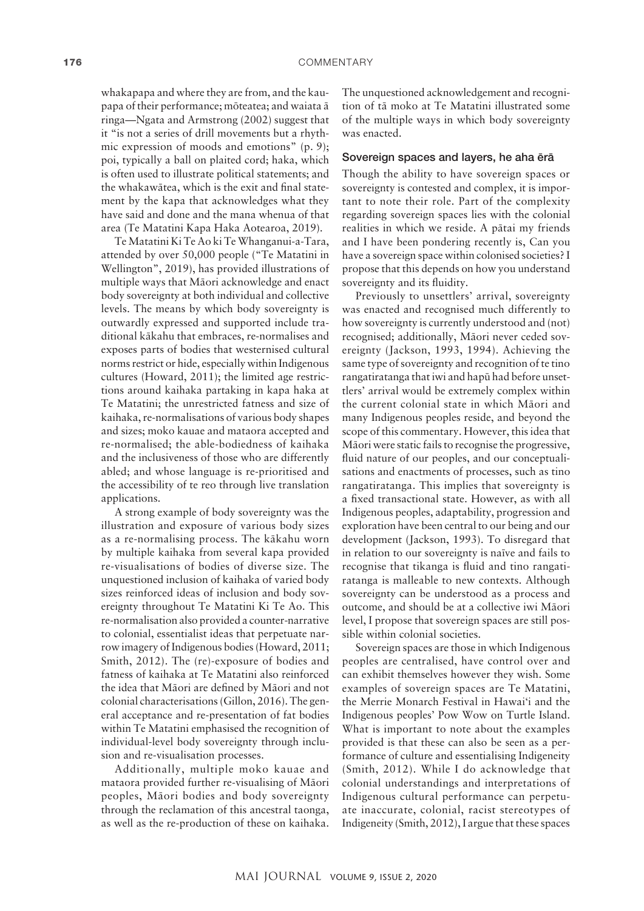whakapapa and where they are from, and the kaupapa of their performance; möteatea; and waiata ä ringa—Ngata and Armstrong (2002) suggest that it "is not a series of drill movements but a rhythmic expression of moods and emotions" (p. 9); poi, typically a ball on plaited cord; haka, which is often used to illustrate political statements; and the whakawätea, which is the exit and final statement by the kapa that acknowledges what they have said and done and the mana whenua of that area (Te Matatini Kapa Haka Aotearoa, 2019).

Te Matatini Ki Te Ao ki Te Whanganui-a-Tara, attended by over 50,000 people ("Te Matatini in Wellington", 2019), has provided illustrations of multiple ways that Mäori acknowledge and enact body sovereignty at both individual and collective levels. The means by which body sovereignty is outwardly expressed and supported include traditional käkahu that embraces, re-normalises and exposes parts of bodies that westernised cultural norms restrict or hide, especially within Indigenous cultures (Howard, 2011); the limited age restrictions around kaihaka partaking in kapa haka at Te Matatini; the unrestricted fatness and size of kaihaka, re-normalisations of various body shapes and sizes; moko kauae and mataora accepted and re-normalised; the able-bodiedness of kaihaka and the inclusiveness of those who are differently abled; and whose language is re-prioritised and the accessibility of te reo through live translation applications.

A strong example of body sovereignty was the illustration and exposure of various body sizes as a re-normalising process. The käkahu worn by multiple kaihaka from several kapa provided re-visualisations of bodies of diverse size. The unquestioned inclusion of kaihaka of varied body sizes reinforced ideas of inclusion and body sovereignty throughout Te Matatini Ki Te Ao. This re-normalisation also provided a counter-narrative to colonial, essentialist ideas that perpetuate narrow imagery of Indigenous bodies (Howard, 2011; Smith, 2012). The (re)-exposure of bodies and fatness of kaihaka at Te Matatini also reinforced the idea that Mäori are defined by Mäori and not colonial characterisations (Gillon, 2016). The general acceptance and re-presentation of fat bodies within Te Matatini emphasised the recognition of individual-level body sovereignty through inclusion and re-visualisation processes.

Additionally, multiple moko kauae and mataora provided further re-visualising of Mäori peoples, Mäori bodies and body sovereignty through the reclamation of this ancestral taonga, as well as the re-production of these on kaihaka.

The unquestioned acknowledgement and recognition of tä moko at Te Matatini illustrated some of the multiple ways in which body sovereignty was enacted.

#### Sovereign spaces and layers, he aha ërä

Though the ability to have sovereign spaces or sovereignty is contested and complex, it is important to note their role. Part of the complexity regarding sovereign spaces lies with the colonial realities in which we reside. A pätai my friends and I have been pondering recently is, Can you have a sovereign space within colonised societies? I propose that this depends on how you understand sovereignty and its fluidity.

Previously to unsettlers' arrival, sovereignty was enacted and recognised much differently to how sovereignty is currently understood and (not) recognised; additionally, Mäori never ceded sovereignty (Jackson, 1993, 1994). Achieving the same type of sovereignty and recognition of te tino rangatiratanga that iwi and hapü had before unsettlers' arrival would be extremely complex within the current colonial state in which Mäori and many Indigenous peoples reside, and beyond the scope of this commentary. However, this idea that Mäori were static fails to recognise the progressive, fluid nature of our peoples, and our conceptualisations and enactments of processes, such as tino rangatiratanga. This implies that sovereignty is a fixed transactional state. However, as with all Indigenous peoples, adaptability, progression and exploration have been central to our being and our development (Jackson, 1993). To disregard that in relation to our sovereignty is naïve and fails to recognise that tikanga is fluid and tino rangatiratanga is malleable to new contexts. Although sovereignty can be understood as a process and outcome, and should be at a collective iwi Mäori level, I propose that sovereign spaces are still possible within colonial societies.

Sovereign spaces are those in which Indigenous peoples are centralised, have control over and can exhibit themselves however they wish. Some examples of sovereign spaces are Te Matatini, the Merrie Monarch Festival in Hawai'i and the Indigenous peoples' Pow Wow on Turtle Island. What is important to note about the examples provided is that these can also be seen as a performance of culture and essentialising Indigeneity (Smith, 2012). While I do acknowledge that colonial understandings and interpretations of Indigenous cultural performance can perpetuate inaccurate, colonial, racist stereotypes of Indigeneity (Smith, 2012), I argue that these spaces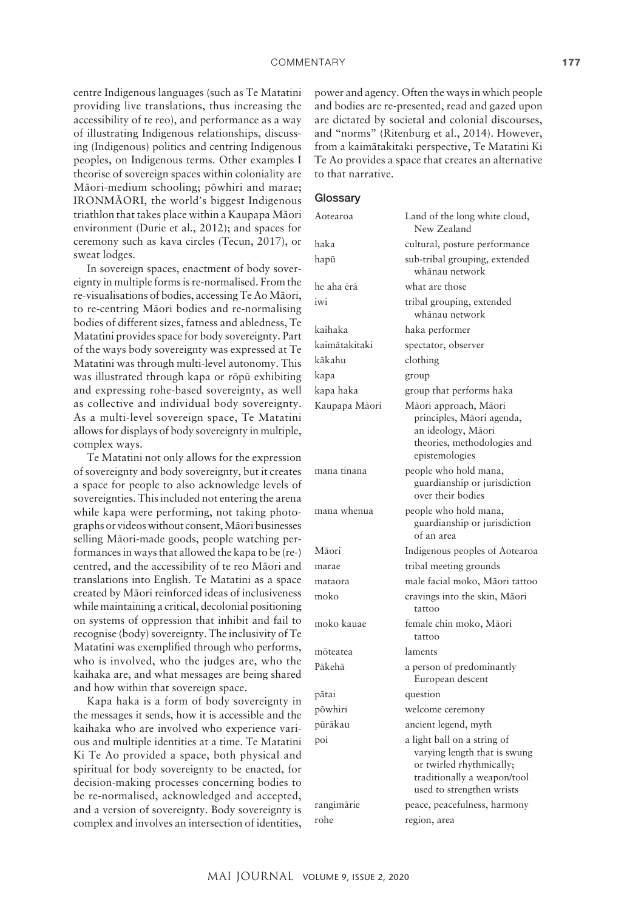centre Indigenous languages (such as Te Matatini providing live translations, thus increasing the accessibility of te reo), and performance as a way of illustrating Indigenous relationships, discussing (Indigenous) politics and centring Indigenous peoples, on Indigenous terms. Other examples I theorise of sovereign spaces within coloniality are Mäori-medium schooling; pöwhiri and marae; IRONMÄORI, the world's biggest Indigenous triathlon that takes place within a Kaupapa Mäori environment (Durie et al., 2012); and spaces for ceremony such as kava circles (Tecun, 2017), or sweat lodges.

In sovereign spaces, enactment of body sovereignty in multiple forms is re-normalised. From the re-visualisations of bodies, accessing Te Ao Mäori, to re-centring Mäori bodies and re-normalising bodies of different sizes, fatness and abledness, Te Matatini provides space for body sovereignty. Part of the ways body sovereignty was expressed at Te Matatini was through multi-level autonomy. This was illustrated through kapa or röpü exhibiting and expressing rohe-based sovereignty, as well as collective and individual body sovereignty. As a multi-level sovereign space, Te Matatini allows for displays of body sovereignty in multiple, complex ways.

Te Matatini not only allows for the expression of sovereignty and body sovereignty, but it creates a space for people to also acknowledge levels of sovereignties. This included not entering the arena while kapa were performing, not taking photographs or videos without consent, Mäori businesses selling Mäori-made goods, people watching performances in ways that allowed the kapa to be (re-) centred, and the accessibility of te reo Mäori and translations into English. Te Matatini as a space created by Mäori reinforced ideas of inclusiveness while maintaining a critical, decolonial positioning on systems of oppression that inhibit and fail to recognise (body) sovereignty. The inclusivity of Te Matatini was exemplified through who performs, who is involved, who the judges are, who the kaihaka are, and what messages are being shared and how within that sovereign space.

Kapa haka is a form of body sovereignty in the messages it sends, how it is accessible and the kaihaka who are involved who experience various and multiple identities at a time. Te Matatini Ki Te Ao provided a space, both physical and spiritual for body sovereignty to be enacted, for decision-making processes concerning bodies to be re-normalised, acknowledged and accepted, and a version of sovereignty. Body sovereignty is complex and involves an intersection of identities,

power and agency. Often the ways in which people and bodies are re-presented, read and gazed upon are dictated by societal and colonial discourses, and "norms" (Ritenburg et al., 2014). However, from a kaimätakitaki perspective, Te Matatini Ki Te Ao provides a space that creates an alternative to that narrative.

### **Glossarv**

| Aotearoa      | Land of the long white cloud,<br>New Zealand                                                                                                        |
|---------------|-----------------------------------------------------------------------------------------------------------------------------------------------------|
| haka          | cultural, posture performance                                                                                                                       |
| hapū          | sub-tribal grouping, extended<br>whānau network                                                                                                     |
| he aha ērā    | what are those                                                                                                                                      |
| iwi           | tribal grouping, extended<br>whānau network                                                                                                         |
| kaihaka       | haka performer                                                                                                                                      |
| kaimātakitaki | spectator, observer                                                                                                                                 |
| kākahu        | clothing                                                                                                                                            |
| kapa          | group                                                                                                                                               |
| kapa haka     | group that performs haka                                                                                                                            |
| Kaupapa Māori | Māori approach, Māori<br>principles, Māori agenda,<br>an ideology, Māori<br>theories, methodologies and<br>epistemologies                           |
| mana tinana   | people who hold mana,<br>guardianship or jurisdiction<br>over their bodies                                                                          |
| mana whenua   | people who hold mana,<br>guardianship or jurisdiction<br>of an area                                                                                 |
| Māori         | Indigenous peoples of Aotearoa                                                                                                                      |
| marae         | tribal meeting grounds                                                                                                                              |
| mataora       | male facial moko, Māori tattoo                                                                                                                      |
| moko          | cravings into the skin, Māori<br>tattoo                                                                                                             |
| moko kauae    | female chin moko, Māori<br>tattoo                                                                                                                   |
| mõteatea      | laments                                                                                                                                             |
| Pākehā        | a person of predominantly<br>European descent                                                                                                       |
| pātai         | question                                                                                                                                            |
| pōwhiri       | welcome ceremony                                                                                                                                    |
| pūrākau       | ancient legend, myth                                                                                                                                |
| poi           | a light ball on a string of<br>varying length that is swung<br>or twirled rhythmically;<br>traditionally a weapon/tool<br>used to strengthen wrists |
| rangimārie    | peace, peacefulness, harmony                                                                                                                        |
| rohe          | region, area                                                                                                                                        |
|               |                                                                                                                                                     |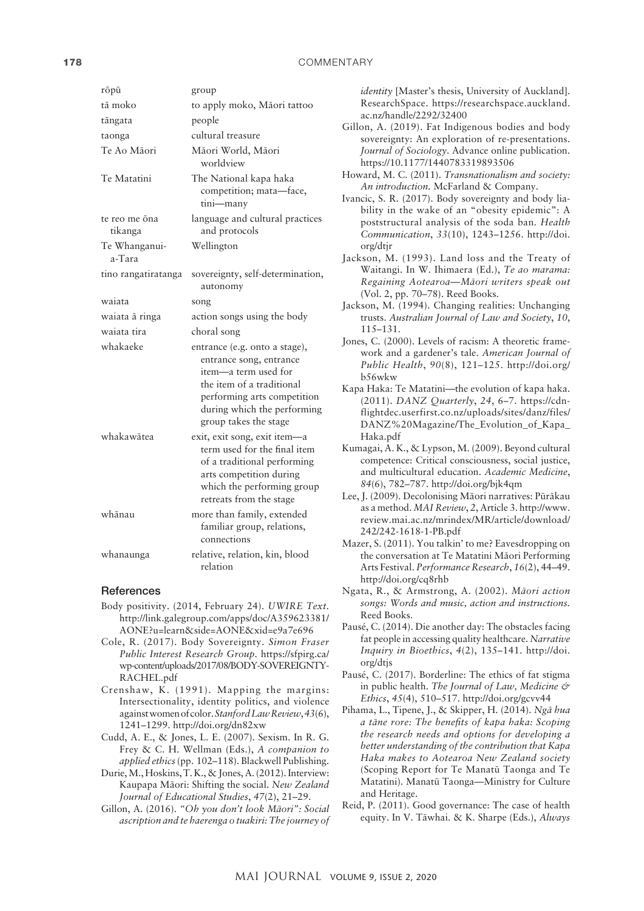| rōpū                     | group                                                                                                                                                                                                |
|--------------------------|------------------------------------------------------------------------------------------------------------------------------------------------------------------------------------------------------|
| tā moko                  | to apply moko, Māori tattoo                                                                                                                                                                          |
| tāngata                  | people                                                                                                                                                                                               |
| taonga                   | cultural treasure                                                                                                                                                                                    |
| Te Ao Māori              | Māori World, Māori<br>worldview                                                                                                                                                                      |
| Te Matatini              | The National kapa haka<br>competition; mata-face,<br>tini-many                                                                                                                                       |
| te reo me ōna<br>tikanga | language and cultural practices<br>and protocols                                                                                                                                                     |
| Te Whanganui-<br>a-Tara  | Wellington                                                                                                                                                                                           |
| tino rangatiratanga      | sovereignty, self-determination,<br>autonomy                                                                                                                                                         |
| waiata                   | song                                                                                                                                                                                                 |
| waiata ā ringa           | action songs using the body                                                                                                                                                                          |
|                          |                                                                                                                                                                                                      |
| waiata tira              | choral song                                                                                                                                                                                          |
| whakaeke                 | entrance (e.g. onto a stage),<br>entrance song, entrance<br>item-a term used for<br>the item of a traditional<br>performing arts competition<br>during which the performing<br>group takes the stage |
| whakawātea               | exit, exit song, exit item-a<br>term used for the final item<br>of a traditional performing<br>arts competition during<br>which the performing group<br>retreats from the stage                      |
| whānau                   | more than family, extended<br>familiar group, relations,<br>connections                                                                                                                              |

#### References

- Body positivity. (2014, February 24). *UWIRE Text*. [http://link.galegroup.com/apps/doc/A359623381/](http://link.galegroup.com/apps/doc/A359623381/AONE?u=learn&side=AONE&xid=e9a7e696) [AONE?u=learn&side=AONE&xid=e9a7e696](http://link.galegroup.com/apps/doc/A359623381/AONE?u=learn&side=AONE&xid=e9a7e696)
- Cole, R. (2017). Body Sovereignty. *Simon Fraser Public Interest Research Group.* [https://sfpirg.ca/](https://sfpirg.ca/wp-content/uploads/2017/08/BODY-SOVEREIGNTY-RACHEL.pdf) [wp-content/uploads/2017/08/BODY-SOVEREIGNTY-](https://sfpirg.ca/wp-content/uploads/2017/08/BODY-SOVEREIGNTY-RACHEL.pdf)[RACHEL.pdf](https://sfpirg.ca/wp-content/uploads/2017/08/BODY-SOVEREIGNTY-RACHEL.pdf)
- Crenshaw, K. (1991). Mapping the margins: Intersectionality, identity politics, and violence against women of color. *Stanford Law Review*, *43*(6), 1241–1299.<http://doi.org/dn82xw>
- Cudd, A. E., & Jones, L. E. (2007). Sexism. In R. G. Frey & C. H. Wellman (Eds.), *A companion to applied ethics* (pp. 102–118). Blackwell Publishing.
- Durie, M., Hoskins, T. K., & Jones, A. (2012). Interview: Kaupapa Mäori: Shifting the social. *New Zealand Journal of Educational Studies*, *47*(2), 21–29.
- Gillon, A. (2016). *"Oh you don't look Mäori": Social ascription and te haerenga o tuakiri: The journey of*

*identity* [Master's thesis, University of Auckland]. ResearchSpace. [https://researchspace.auckland.](https://researchspace.auckland.ac.nz/handle/2292/32400) [ac.nz/handle/2292/32400](https://researchspace.auckland.ac.nz/handle/2292/32400)

- Gillon, A. (2019). Fat Indigenous bodies and body sovereignty: An exploration of re-presentations. *Journal of Sociology*. Advance online publication. <https://10.1177/1440783319893506>
- Howard, M. C. (2011). *Transnationalism and society: An introduction.* McFarland & Company.
- Ivancic, S. R. (2017). Body sovereignty and body liability in the wake of an "obesity epidemic": A poststructural analysis of the soda ban*. Health Communication*, *33*(10), 1243–1256. [http://doi.](http://doi.org/dtjr) [org/dtjr](http://doi.org/dtjr)
- Jackson, M. (1993). Land loss and the Treaty of Waitangi. In W. Ihimaera (Ed.), *Te ao marama: Regaining Aotearoa—Mäori writers speak out*  (Vol. 2, pp. 70–78). Reed Books.
- Jackson, M. (1994). Changing realities: Unchanging trusts. *Australian Journal of Law and Society*, *10*, 115–131.
- Jones, C. (2000). Levels of racism: A theoretic framework and a gardener's tale. *American Journal of Public Health*, *90*(8), 121–125. [http://doi.org/](http://doi.org/b56wkw) [b56wkw](http://doi.org/b56wkw)
- Kapa Haka: Te Matatini—the evolution of kapa haka. (2011). *DANZ Quarterly*, *24*, 6–7. [https://cdn](https://cdn-flightdec.userfirst.co.nz/uploads/sites/danz/files/DANZ Magazine/The_Evolution_of_Kapa_Haka.pdf)[flightdec.userfirst.co.nz/uploads/sites/danz/files/](https://cdn-flightdec.userfirst.co.nz/uploads/sites/danz/files/DANZ Magazine/The_Evolution_of_Kapa_Haka.pdf) [DANZ%20Magazine/The\\_Evolution\\_of\\_Kapa\\_](https://cdn-flightdec.userfirst.co.nz/uploads/sites/danz/files/DANZ Magazine/The_Evolution_of_Kapa_Haka.pdf) [Haka.pdf](https://cdn-flightdec.userfirst.co.nz/uploads/sites/danz/files/DANZ Magazine/The_Evolution_of_Kapa_Haka.pdf)
- Kumagai, A. K., & Lypson, M. (2009). Beyond cultural competence: Critical consciousness, social justice, and multicultural education. *Academic Medicine*, *84*(6), 782–787. <http://doi.org/bjk4qm>
- Lee, J. (2009). Decolonising Mäori narratives: Püräkau as a method. *MAI Review*, *2*, Article 3. [http://www.](http://www.review.mai.ac.nz/mrindex/MR/article/download/242/242-1618-1-PB.pdf) [review.mai.ac.nz/mrindex/MR/article/download/](http://www.review.mai.ac.nz/mrindex/MR/article/download/242/242-1618-1-PB.pdf) [242/242-1618-1-PB.pdf](http://www.review.mai.ac.nz/mrindex/MR/article/download/242/242-1618-1-PB.pdf)
- Mazer, S. (2011). You talkin' to me? Eavesdropping on the conversation at Te Matatini Mäori Performing Arts Festival. *Performance Research*, *16*(2), 44–49. <http://doi.org/cq8rhb>
- Ngata, R., & Armstrong, A. (2002). *Mäori action songs: Words and music, action and instructions.*  Reed Books.
- Pausé, C. (2014). Die another day: The obstacles facing fat people in accessing quality healthcare. *Narrative Inquiry in Bioethics*, *4*(2), 135–141. [http://doi.](http://doi.org/dtjs) [org/dtjs](http://doi.org/dtjs)
- Pausé, C. (2017). Borderline: The ethics of fat stigma in public health. *The Journal of Law, Medicine & Ethics*, *45*(4), 510–517. <http://doi.org/gcvv44>
- Pihama, L., Tipene, J., & Skipper, H. (2014). *Ngä hua a täne rore: The benefits of kapa haka: Scoping the research needs and options for developing a better understanding of the contribution that Kapa Haka makes to Aotearoa New Zealand society*  (Scoping Report for Te Manatü Taonga and Te Matatini). Manatü Taonga—Ministry for Culture and Heritage.
- Reid, P. (2011). Good governance: The case of health equity. In V. Täwhai. & K. Sharpe (Eds.), *Always*